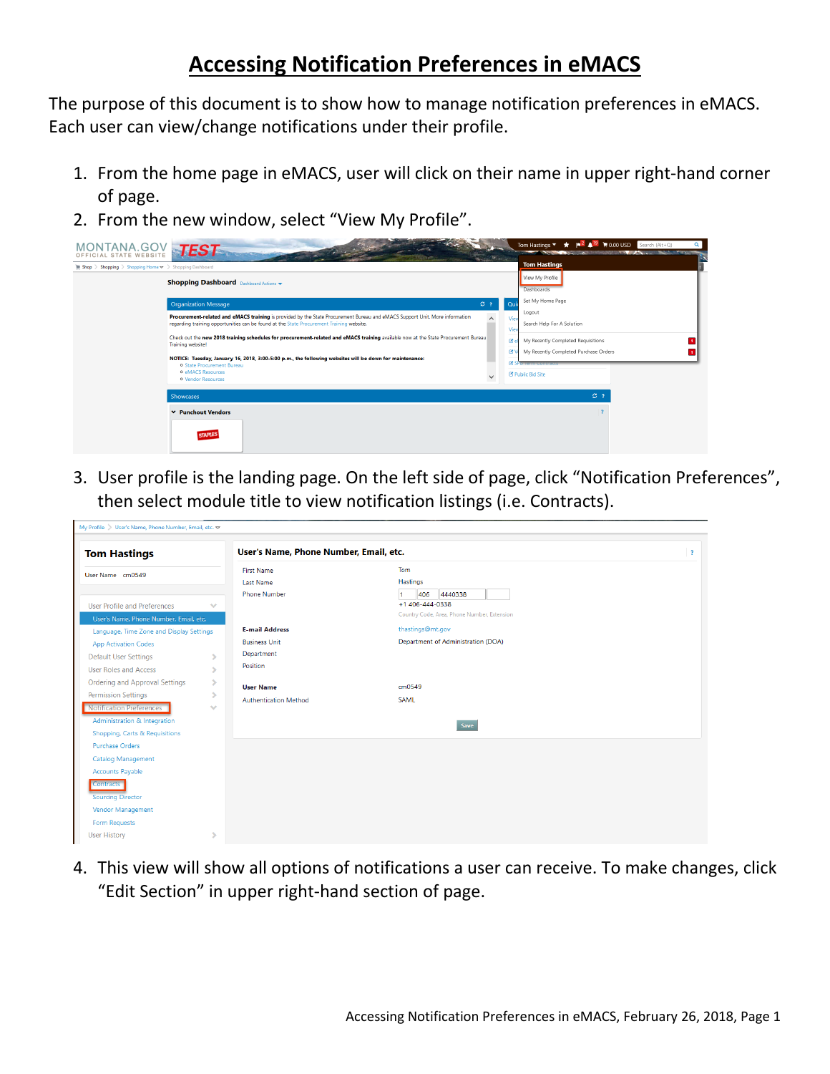## **Accessing Notification Preferences in eMACS**

The purpose of this document is to show how to manage notification preferences in eMACS. Each user can view/change notifications under their profile.

- 1. From the home page in eMACS, user will click on their name in upper right-hand corner of page.
- 2. From the new window, select "View My Profile".

| <b>TANA.GOV TEST</b><br>MС<br>OFFICIAL STATE WEBSITE                                      |                                                                                                                                                                                                                                     | $\parallel$ $\parallel$ $\parallel$ $\parallel$ $\parallel$ 0.00 USD Search (Alt+Q)<br>Tom Hastings $\blacktriangledown$<br>$\star$<br>Q<br><b>All and Constitution Constitution of the Constitution Constitution of the Constitution Constitution of the Const</b> |
|-------------------------------------------------------------------------------------------|-------------------------------------------------------------------------------------------------------------------------------------------------------------------------------------------------------------------------------------|---------------------------------------------------------------------------------------------------------------------------------------------------------------------------------------------------------------------------------------------------------------------|
| $\blacksquare$ Shop > Shopping > Shopping Home $\blacktriangleright$ > Shopping Dashboard |                                                                                                                                                                                                                                     | <b>Tom Hastings</b>                                                                                                                                                                                                                                                 |
|                                                                                           | <b>Shopping Dashboard</b> Dashboard Actions v                                                                                                                                                                                       | View My Profile<br>Dashboards                                                                                                                                                                                                                                       |
|                                                                                           | C <sub>2</sub><br><b>Organization Message</b>                                                                                                                                                                                       | Set My Home Page<br>Qui                                                                                                                                                                                                                                             |
|                                                                                           | Procurement-related and eMACS training is provided by the State Procurement Bureau and eMACS Support Unit. More information<br>$\wedge$<br>regarding training opportunities can be found at the State Procurement Training website. | Logout<br>Vie<br>Search Help For A Solution<br>Vier                                                                                                                                                                                                                 |
|                                                                                           | Check out the new 2018 training schedules for procurement-related and eMACS training available now at the State Procurement Bureau<br><b>Training website!</b>                                                                      | My Recently Completed Requisitions<br>Ce<br>$\mathfrak{B}$<br>My Recently Completed Purchase Orders                                                                                                                                                                 |
|                                                                                           | NOTICE: Tuesday, January 16, 2018, 3:00-5:00 p.m., the following websites will be down for maintenance:<br><b>O</b> State Procurement Bureau<br><b>O</b> eMACS Resources                                                            | C SP offering contract                                                                                                                                                                                                                                              |
|                                                                                           | $\checkmark$<br><b>O</b> Vendor Resources                                                                                                                                                                                           | <b>B</b> Public Bid Site                                                                                                                                                                                                                                            |
|                                                                                           | <b>Showcases</b>                                                                                                                                                                                                                    | C <sub>2</sub>                                                                                                                                                                                                                                                      |
|                                                                                           | ▼ Punchout Vendors<br><b>STAPLES</b>                                                                                                                                                                                                |                                                                                                                                                                                                                                                                     |

3. User profile is the landing page. On the left side of page, click "Notification Preferences", then select module title to view notification listings (i.e. Contracts).

| Tom<br><b>First Name</b><br>Hastings<br><b>Last Name</b><br><b>Phone Number</b><br>406<br>4440338<br>+1 406-444-0338<br><b>User Profile and Preferences</b><br>$\checkmark$<br>Country Code, Area, Phone Number, Extension<br>User's Name, Phone Number, Email, etc.<br>thastings@mt.gov<br><b>E-mail Address</b><br>Language, Time Zone and Display Settings<br>Department of Administration (DOA)<br><b>Business Unit</b><br><b>App Activation Codes</b><br>Department<br><b>Default User Settings</b><br>Position<br><b>User Roles and Access</b><br>Ordering and Approval Settings<br>s<br>cm0549<br><b>User Name</b><br><b>Permission Settings</b><br>C<br><b>SAML</b><br><b>Authentication Method</b><br><b>Notification Preferences</b><br>$\mathcal{A}$<br>Administration & Integration<br>Save<br>Shopping, Carts & Requisitions<br><b>Purchase Orders</b><br>Catalog Management<br><b>Accounts Payable</b><br><b>Contracts</b><br><b>Sourcing Director</b> | <b>Tom Hastings</b> |  | User's Name, Phone Number, Email, etc. |  | $\overline{\mathbf{r}}$ |
|----------------------------------------------------------------------------------------------------------------------------------------------------------------------------------------------------------------------------------------------------------------------------------------------------------------------------------------------------------------------------------------------------------------------------------------------------------------------------------------------------------------------------------------------------------------------------------------------------------------------------------------------------------------------------------------------------------------------------------------------------------------------------------------------------------------------------------------------------------------------------------------------------------------------------------------------------------------------|---------------------|--|----------------------------------------|--|-------------------------|
|                                                                                                                                                                                                                                                                                                                                                                                                                                                                                                                                                                                                                                                                                                                                                                                                                                                                                                                                                                      | User Name cm0549    |  |                                        |  |                         |
|                                                                                                                                                                                                                                                                                                                                                                                                                                                                                                                                                                                                                                                                                                                                                                                                                                                                                                                                                                      |                     |  |                                        |  |                         |
|                                                                                                                                                                                                                                                                                                                                                                                                                                                                                                                                                                                                                                                                                                                                                                                                                                                                                                                                                                      |                     |  |                                        |  |                         |
|                                                                                                                                                                                                                                                                                                                                                                                                                                                                                                                                                                                                                                                                                                                                                                                                                                                                                                                                                                      |                     |  |                                        |  |                         |
|                                                                                                                                                                                                                                                                                                                                                                                                                                                                                                                                                                                                                                                                                                                                                                                                                                                                                                                                                                      |                     |  |                                        |  |                         |
|                                                                                                                                                                                                                                                                                                                                                                                                                                                                                                                                                                                                                                                                                                                                                                                                                                                                                                                                                                      |                     |  |                                        |  |                         |
|                                                                                                                                                                                                                                                                                                                                                                                                                                                                                                                                                                                                                                                                                                                                                                                                                                                                                                                                                                      |                     |  |                                        |  |                         |
| Form Requests                                                                                                                                                                                                                                                                                                                                                                                                                                                                                                                                                                                                                                                                                                                                                                                                                                                                                                                                                        | Vendor Management   |  |                                        |  |                         |

4. This view will show all options of notifications a user can receive. To make changes, click "Edit Section" in upper right-hand section of page.